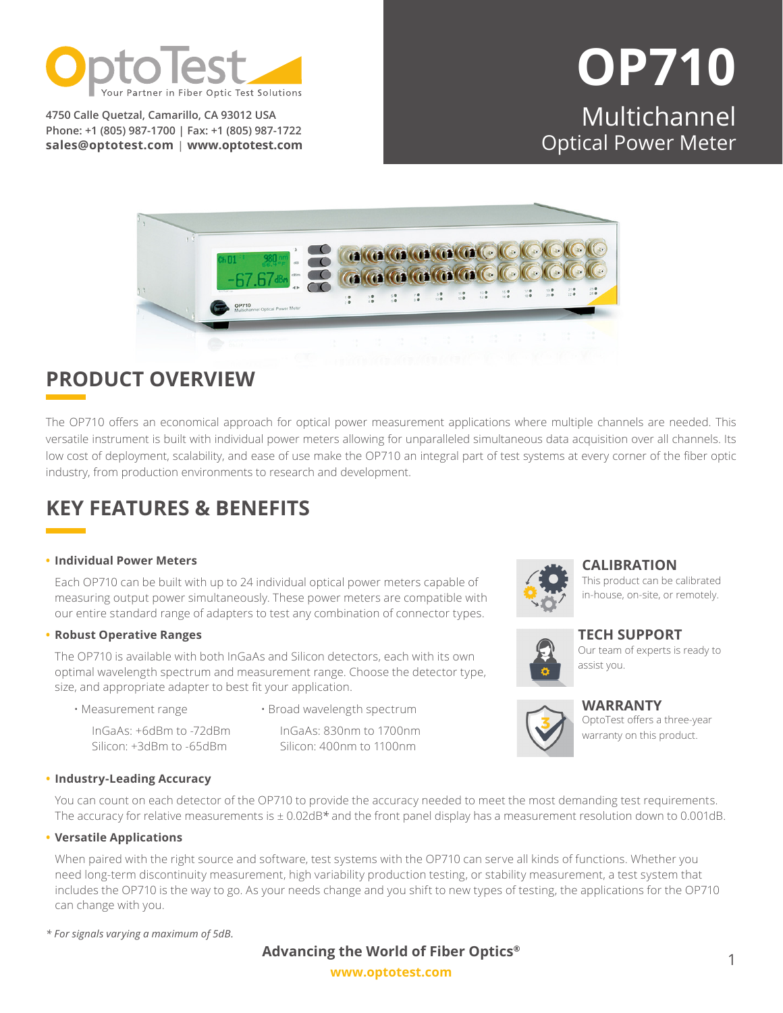

**4750 Calle Quetzal, Camarillo, CA 93012 USA Phone: +1 (805) 987-1700 | Fax: +1 (805) 987-1722 sales@optotest.com | [www.optotest.com](http://www.optotest.com)**

# **OP710** Multichannel Optical Power Meter



### **PRODUCT OVERVIEW**

The OP710 offers an economical approach for optical power measurement applications where multiple channels are needed. This versatile instrument is built with individual power meters allowing for unparalleled simultaneous data acquisition over all channels. Its low cost of deployment, scalability, and ease of use make the OP710 an integral part of test systems at every corner of the fiber optic industry, from production environments to research and development.

### **KEY FEATURES & BENEFITS**

#### **• Individual Power Meters**

Each OP710 can be built with up to 24 individual optical power meters capable of measuring output power simultaneously. These power meters are compatible with our entire standard range of adapters to test any combination of connector types.

#### **• Robust Operative Ranges**

The OP710 is available with both InGaAs and Silicon detectors, each with its own optimal wavelength spectrum and measurement range. Choose the detector type, size, and appropriate adapter to best fit your application.

- Measurement range
- Broad wavelength spectrum

InGaAs: +6dBm to -72dBm

Silicon: 400nm to 1100nm



#### **CALIBRATION**

[This product can be calibrated](https://www.optotest.com/calibration-services/)  in-house, on-site, or remotely.



**TECH SUPPORT** [Our team of experts is ready to](https://www.optotest.com/about-optotest-fiber-optic-test-equipment/terms-conditions-fiber-optic-test-equipment/)  assist you.



**WARRANTY**

[OptoTest offers a three-year](https://www.optotest.com/about-optotest-fiber-optic-test-equipment/terms-conditions-fiber-optic-test-equipment/) warranty on this product.

Silicon: +3dBm to -65dBm

InGaAs: 830nm to 1700nm

#### **• Industry-Leading Accuracy**

You can count on each detector of the OP710 to provide the accuracy needed to meet the most demanding test requirements. The accuracy for relative measurements is ± 0.02dB*\** and the front panel display has a measurement resolution down to 0.001dB.

#### **• Versatile Applications**

When paired with the right source and software, test systems with the OP710 can serve all kinds of functions. Whether you need long-term discontinuity measurement, high variability production testing, or stability measurement, a test system that includes the OP710 is the way to go. As your needs change and you shift to new types of testing, the applications for the OP710 can change with you.

*\* For signals varying a maximum of 5dB.*

### **Advancing the World of Fiber Optics®**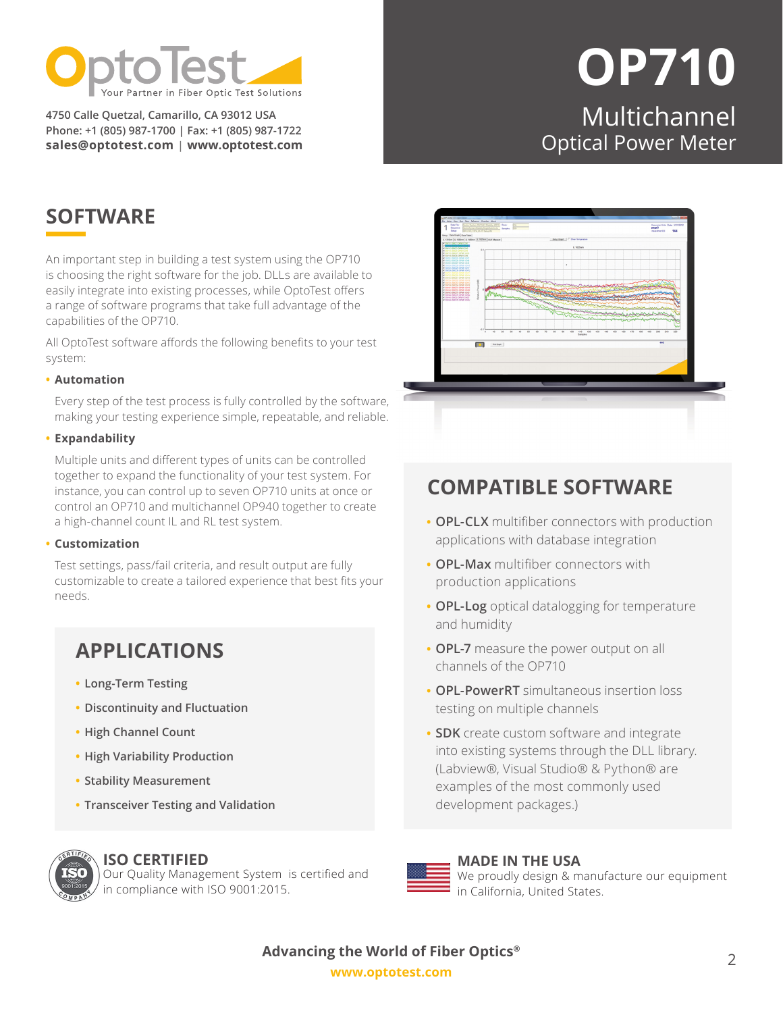

**4750 Calle Quetzal, Camarillo, CA 93012 USA Phone: +1 (805) 987-1700 | Fax: +1 (805) 987-1722 sales@optotest.com | [www.optotest.com](http://www.optotest.com)**

# **OP710** Multichannel Optical Power Meter

## **SOFTWARE**

An important step in building a test system using the OP710 is choosing the right software for the job. DLLs are available to easily integrate into existing processes, while OptoTest offers a range of software programs that take full advantage of the capabilities of the OP710.

All OptoTest software affords the following benefits to your test system:

#### **• Automation**

Every step of the test process is fully controlled by the software, making your testing experience simple, repeatable, and reliable.

#### **• Expandability**

Multiple units and different types of units can be controlled together to expand the functionality of your test system. For instance, you can control up to seven OP710 units at once or control an OP710 and multichannel OP940 together to create a high-channel count IL and RL test system.

#### **• Customization**

Test settings, pass/fail criteria, and result output are fully customizable to create a tailored experience that best fits your needs.

### **APPLICATIONS**

- **• Long-Term Testing**
- **• Discontinuity and Fluctuation**
- **• High Channel Count**
- **• High Variability Production**
- **• Stability Measurement**
- **• Transceiver Testing and Validation**

### **ISO CERTIFIED**

Our Quality Management System is certified and in compliance with ISO 9001:2015.



### **[COMPATIBLE SOFTWARE](https://www.optotest.com/software-overview/)**

- **• OPL-CLX** multifiber connectors with production applications with database integration
- **• OPL-Max** multifiber connectors with production applications
- **• OPL-Log** optical datalogging for temperature and humidity
- **• OPL-7** measure the power output on all channels of the OP710
- **• OPL-PowerRT** simultaneous insertion loss testing on multiple channels
- **• SDK** create custom software and integrate into existing systems through the DLL library. (Labview®, Visual Studio® & Python® are examples of the most commonly used development packages.)



## **MADE IN THE USA**

We proudly design & manufacture our equipment in California, United States.

**[www.optotest.com](https://www.optotest.com/) Advancing the World of Fiber Optics®**